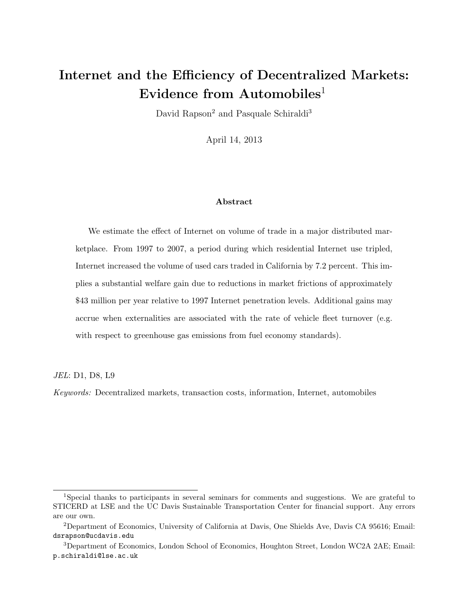# Internet and the Efficiency of Decentralized Markets: Evidence from Automobiles<sup>1</sup>

David Rapson<sup>2</sup> and Pasquale Schiraldi<sup>3</sup>

April 14, 2013

#### Abstract

We estimate the effect of Internet on volume of trade in a major distributed marketplace. From 1997 to 2007, a period during which residential Internet use tripled, Internet increased the volume of used cars traded in California by 7.2 percent. This implies a substantial welfare gain due to reductions in market frictions of approximately \$43 million per year relative to 1997 Internet penetration levels. Additional gains may accrue when externalities are associated with the rate of vehicle fleet turnover (e.g. with respect to greenhouse gas emissions from fuel economy standards).

JEL: D1, D8, L9

Keywords: Decentralized markets, transaction costs, information, Internet, automobiles

<sup>1</sup>Special thanks to participants in several seminars for comments and suggestions. We are grateful to STICERD at LSE and the UC Davis Sustainable Transportation Center for financial support. Any errors are our own.

<sup>2</sup>Department of Economics, University of California at Davis, One Shields Ave, Davis CA 95616; Email: dsrapson@ucdavis.edu

<sup>3</sup>Department of Economics, London School of Economics, Houghton Street, London WC2A 2AE; Email: p.schiraldi@lse.ac.uk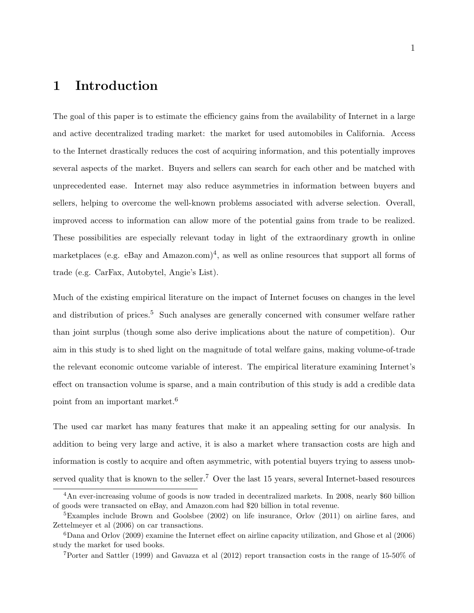### 1 Introduction

The goal of this paper is to estimate the efficiency gains from the availability of Internet in a large and active decentralized trading market: the market for used automobiles in California. Access to the Internet drastically reduces the cost of acquiring information, and this potentially improves several aspects of the market. Buyers and sellers can search for each other and be matched with unprecedented ease. Internet may also reduce asymmetries in information between buyers and sellers, helping to overcome the well-known problems associated with adverse selection. Overall, improved access to information can allow more of the potential gains from trade to be realized. These possibilities are especially relevant today in light of the extraordinary growth in online marketplaces (e.g. eBay and Amazon.com)<sup>4</sup>, as well as online resources that support all forms of trade (e.g. CarFax, Autobytel, Angie's List).

Much of the existing empirical literature on the impact of Internet focuses on changes in the level and distribution of prices.<sup>5</sup> Such analyses are generally concerned with consumer welfare rather than joint surplus (though some also derive implications about the nature of competition). Our aim in this study is to shed light on the magnitude of total welfare gains, making volume-of-trade the relevant economic outcome variable of interest. The empirical literature examining Internet's effect on transaction volume is sparse, and a main contribution of this study is add a credible data point from an important market.<sup>6</sup>

The used car market has many features that make it an appealing setting for our analysis. In addition to being very large and active, it is also a market where transaction costs are high and information is costly to acquire and often asymmetric, with potential buyers trying to assess unobserved quality that is known to the seller.<sup>7</sup> Over the last 15 years, several Internet-based resources

<sup>4</sup>An ever-increasing volume of goods is now traded in decentralized markets. In 2008, nearly \$60 billion of goods were transacted on eBay, and Amazon.com had \$20 billion in total revenue.

 $5$ Examples include Brown and Goolsbee (2002) on life insurance, Orlov (2011) on airline fares, and Zettelmeyer et al (2006) on car transactions.

<sup>6</sup>Dana and Orlov (2009) examine the Internet effect on airline capacity utilization, and Ghose et al (2006) study the market for used books.

<sup>7</sup>Porter and Sattler (1999) and Gavazza et al (2012) report transaction costs in the range of 15-50% of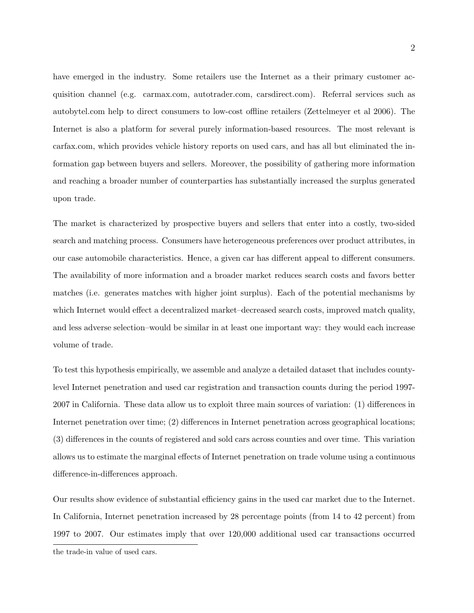have emerged in the industry. Some retailers use the Internet as a their primary customer acquisition channel (e.g. carmax.com, autotrader.com, carsdirect.com). Referral services such as autobytel.com help to direct consumers to low-cost offline retailers (Zettelmeyer et al 2006). The Internet is also a platform for several purely information-based resources. The most relevant is carfax.com, which provides vehicle history reports on used cars, and has all but eliminated the information gap between buyers and sellers. Moreover, the possibility of gathering more information and reaching a broader number of counterparties has substantially increased the surplus generated upon trade.

The market is characterized by prospective buyers and sellers that enter into a costly, two-sided search and matching process. Consumers have heterogeneous preferences over product attributes, in our case automobile characteristics. Hence, a given car has different appeal to different consumers. The availability of more information and a broader market reduces search costs and favors better matches (i.e. generates matches with higher joint surplus). Each of the potential mechanisms by which Internet would effect a decentralized market–decreased search costs, improved match quality, and less adverse selection–would be similar in at least one important way: they would each increase volume of trade.

To test this hypothesis empirically, we assemble and analyze a detailed dataset that includes countylevel Internet penetration and used car registration and transaction counts during the period 1997- 2007 in California. These data allow us to exploit three main sources of variation: (1) differences in Internet penetration over time; (2) differences in Internet penetration across geographical locations; (3) differences in the counts of registered and sold cars across counties and over time. This variation allows us to estimate the marginal effects of Internet penetration on trade volume using a continuous difference-in-differences approach.

Our results show evidence of substantial efficiency gains in the used car market due to the Internet. In California, Internet penetration increased by 28 percentage points (from 14 to 42 percent) from 1997 to 2007. Our estimates imply that over 120,000 additional used car transactions occurred

the trade-in value of used cars.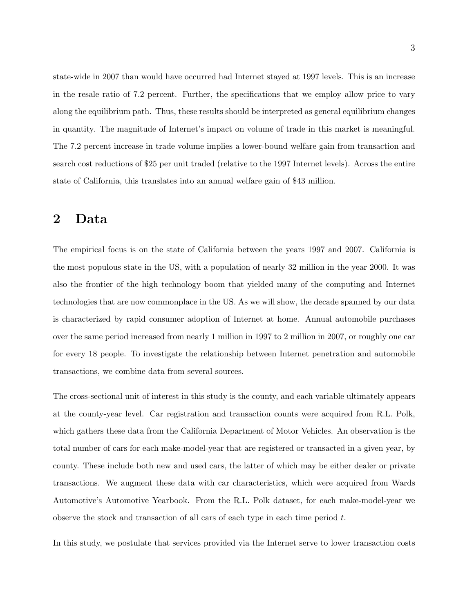state-wide in 2007 than would have occurred had Internet stayed at 1997 levels. This is an increase in the resale ratio of 7.2 percent. Further, the specifications that we employ allow price to vary along the equilibrium path. Thus, these results should be interpreted as general equilibrium changes in quantity. The magnitude of Internet's impact on volume of trade in this market is meaningful. The 7.2 percent increase in trade volume implies a lower-bound welfare gain from transaction and search cost reductions of \$25 per unit traded (relative to the 1997 Internet levels). Across the entire state of California, this translates into an annual welfare gain of \$43 million.

#### 2 Data

The empirical focus is on the state of California between the years 1997 and 2007. California is the most populous state in the US, with a population of nearly 32 million in the year 2000. It was also the frontier of the high technology boom that yielded many of the computing and Internet technologies that are now commonplace in the US. As we will show, the decade spanned by our data is characterized by rapid consumer adoption of Internet at home. Annual automobile purchases over the same period increased from nearly 1 million in 1997 to 2 million in 2007, or roughly one car for every 18 people. To investigate the relationship between Internet penetration and automobile transactions, we combine data from several sources.

The cross-sectional unit of interest in this study is the county, and each variable ultimately appears at the county-year level. Car registration and transaction counts were acquired from R.L. Polk, which gathers these data from the California Department of Motor Vehicles. An observation is the total number of cars for each make-model-year that are registered or transacted in a given year, by county. These include both new and used cars, the latter of which may be either dealer or private transactions. We augment these data with car characteristics, which were acquired from Wards Automotive's Automotive Yearbook. From the R.L. Polk dataset, for each make-model-year we observe the stock and transaction of all cars of each type in each time period t.

In this study, we postulate that services provided via the Internet serve to lower transaction costs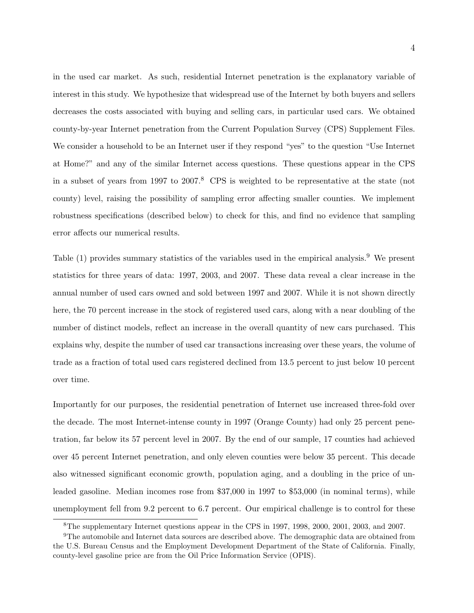in the used car market. As such, residential Internet penetration is the explanatory variable of interest in this study. We hypothesize that widespread use of the Internet by both buyers and sellers decreases the costs associated with buying and selling cars, in particular used cars. We obtained county-by-year Internet penetration from the Current Population Survey (CPS) Supplement Files. We consider a household to be an Internet user if they respond "yes" to the question "Use Internet at Home?" and any of the similar Internet access questions. These questions appear in the CPS in a subset of years from 1997 to 2007.<sup>8</sup> CPS is weighted to be representative at the state (not county) level, raising the possibility of sampling error affecting smaller counties. We implement robustness specifications (described below) to check for this, and find no evidence that sampling error affects our numerical results.

Table (1) provides summary statistics of the variables used in the empirical analysis.<sup>9</sup> We present statistics for three years of data: 1997, 2003, and 2007. These data reveal a clear increase in the annual number of used cars owned and sold between 1997 and 2007. While it is not shown directly here, the 70 percent increase in the stock of registered used cars, along with a near doubling of the number of distinct models, reflect an increase in the overall quantity of new cars purchased. This explains why, despite the number of used car transactions increasing over these years, the volume of trade as a fraction of total used cars registered declined from 13.5 percent to just below 10 percent over time.

Importantly for our purposes, the residential penetration of Internet use increased three-fold over the decade. The most Internet-intense county in 1997 (Orange County) had only 25 percent penetration, far below its 57 percent level in 2007. By the end of our sample, 17 counties had achieved over 45 percent Internet penetration, and only eleven counties were below 35 percent. This decade also witnessed significant economic growth, population aging, and a doubling in the price of unleaded gasoline. Median incomes rose from \$37,000 in 1997 to \$53,000 (in nominal terms), while unemployment fell from 9.2 percent to 6.7 percent. Our empirical challenge is to control for these

<sup>8</sup>The supplementary Internet questions appear in the CPS in 1997, 1998, 2000, 2001, 2003, and 2007.

<sup>9</sup>The automobile and Internet data sources are described above. The demographic data are obtained from the U.S. Bureau Census and the Employment Development Department of the State of California. Finally, county-level gasoline price are from the Oil Price Information Service (OPIS).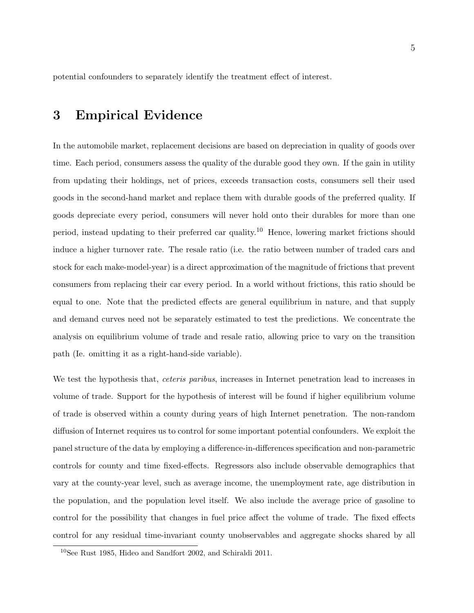potential confounders to separately identify the treatment effect of interest.

#### 3 Empirical Evidence

In the automobile market, replacement decisions are based on depreciation in quality of goods over time. Each period, consumers assess the quality of the durable good they own. If the gain in utility from updating their holdings, net of prices, exceeds transaction costs, consumers sell their used goods in the second-hand market and replace them with durable goods of the preferred quality. If goods depreciate every period, consumers will never hold onto their durables for more than one period, instead updating to their preferred car quality.<sup>10</sup> Hence, lowering market frictions should induce a higher turnover rate. The resale ratio (i.e. the ratio between number of traded cars and stock for each make-model-year) is a direct approximation of the magnitude of frictions that prevent consumers from replacing their car every period. In a world without frictions, this ratio should be equal to one. Note that the predicted effects are general equilibrium in nature, and that supply and demand curves need not be separately estimated to test the predictions. We concentrate the analysis on equilibrium volume of trade and resale ratio, allowing price to vary on the transition path (Ie. omitting it as a right-hand-side variable).

We test the hypothesis that, *ceteris paribus*, increases in Internet penetration lead to increases in volume of trade. Support for the hypothesis of interest will be found if higher equilibrium volume of trade is observed within a county during years of high Internet penetration. The non-random diffusion of Internet requires us to control for some important potential confounders. We exploit the panel structure of the data by employing a difference-in-differences specification and non-parametric controls for county and time fixed-effects. Regressors also include observable demographics that vary at the county-year level, such as average income, the unemployment rate, age distribution in the population, and the population level itself. We also include the average price of gasoline to control for the possibility that changes in fuel price affect the volume of trade. The fixed effects control for any residual time-invariant county unobservables and aggregate shocks shared by all

<sup>10</sup>See Rust 1985, Hideo and Sandfort 2002, and Schiraldi 2011.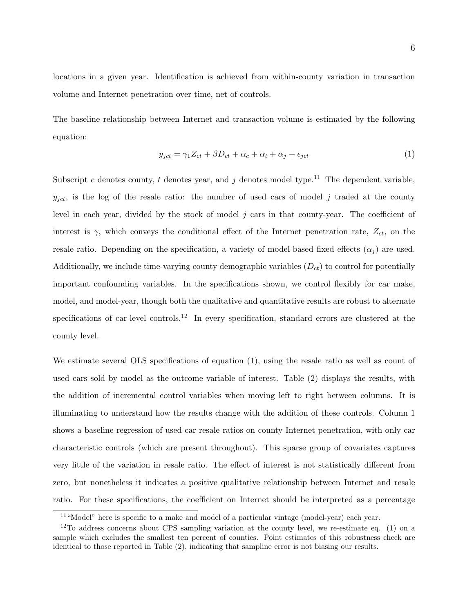locations in a given year. Identification is achieved from within-county variation in transaction volume and Internet penetration over time, net of controls.

The baseline relationship between Internet and transaction volume is estimated by the following equation:

$$
y_{ict} = \gamma_1 Z_{ct} + \beta D_{ct} + \alpha_c + \alpha_t + \alpha_j + \epsilon_{ict}
$$
\n<sup>(1)</sup>

Subscript c denotes county, t denotes year, and j denotes model type.<sup>11</sup> The dependent variable,  $y_{jet}$ , is the log of the resale ratio: the number of used cars of model j traded at the county level in each year, divided by the stock of model  $j$  cars in that county-year. The coefficient of interest is  $\gamma$ , which conveys the conditional effect of the Internet penetration rate,  $Z_{ct}$ , on the resale ratio. Depending on the specification, a variety of model-based fixed effects  $(\alpha_i)$  are used. Additionally, we include time-varying county demographic variables  $(D_{ct})$  to control for potentially important confounding variables. In the specifications shown, we control flexibly for car make, model, and model-year, though both the qualitative and quantitative results are robust to alternate specifications of car-level controls.<sup>12</sup> In every specification, standard errors are clustered at the county level.

We estimate several OLS specifications of equation (1), using the resale ratio as well as count of used cars sold by model as the outcome variable of interest. Table (2) displays the results, with the addition of incremental control variables when moving left to right between columns. It is illuminating to understand how the results change with the addition of these controls. Column 1 shows a baseline regression of used car resale ratios on county Internet penetration, with only car characteristic controls (which are present throughout). This sparse group of covariates captures very little of the variation in resale ratio. The effect of interest is not statistically different from zero, but nonetheless it indicates a positive qualitative relationship between Internet and resale ratio. For these specifications, the coefficient on Internet should be interpreted as a percentage

<sup>&</sup>lt;sup>11</sup> "Model" here is specific to a make and model of a particular vintage (model-year) each year.

<sup>&</sup>lt;sup>12</sup>To address concerns about CPS sampling variation at the county level, we re-estimate eq. (1) on a sample which excludes the smallest ten percent of counties. Point estimates of this robustness check are identical to those reported in Table (2), indicating that sampline error is not biasing our results.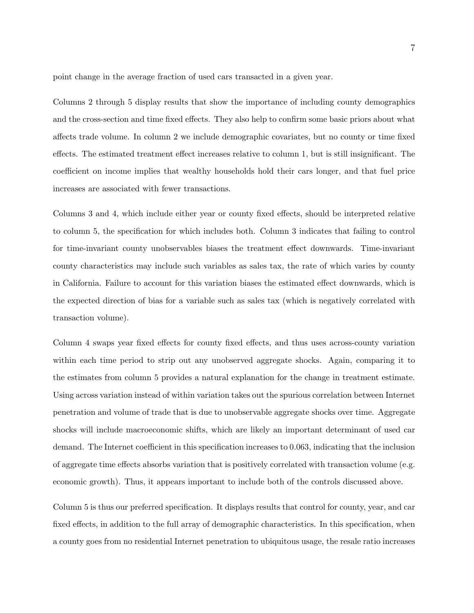point change in the average fraction of used cars transacted in a given year.

Columns 2 through 5 display results that show the importance of including county demographics and the cross-section and time fixed effects. They also help to confirm some basic priors about what affects trade volume. In column 2 we include demographic covariates, but no county or time fixed effects. The estimated treatment effect increases relative to column 1, but is still insignificant. The coefficient on income implies that wealthy households hold their cars longer, and that fuel price increases are associated with fewer transactions.

Columns 3 and 4, which include either year or county fixed effects, should be interpreted relative to column 5, the specification for which includes both. Column 3 indicates that failing to control for time-invariant county unobservables biases the treatment effect downwards. Time-invariant county characteristics may include such variables as sales tax, the rate of which varies by county in California. Failure to account for this variation biases the estimated effect downwards, which is the expected direction of bias for a variable such as sales tax (which is negatively correlated with transaction volume).

Column 4 swaps year fixed effects for county fixed effects, and thus uses across-county variation within each time period to strip out any unobserved aggregate shocks. Again, comparing it to the estimates from column 5 provides a natural explanation for the change in treatment estimate. Using across variation instead of within variation takes out the spurious correlation between Internet penetration and volume of trade that is due to unobservable aggregate shocks over time. Aggregate shocks will include macroeconomic shifts, which are likely an important determinant of used car demand. The Internet coefficient in this specification increases to 0.063, indicating that the inclusion of aggregate time effects absorbs variation that is positively correlated with transaction volume (e.g. economic growth). Thus, it appears important to include both of the controls discussed above.

Column 5 is thus our preferred specification. It displays results that control for county, year, and car fixed effects, in addition to the full array of demographic characteristics. In this specification, when a county goes from no residential Internet penetration to ubiquitous usage, the resale ratio increases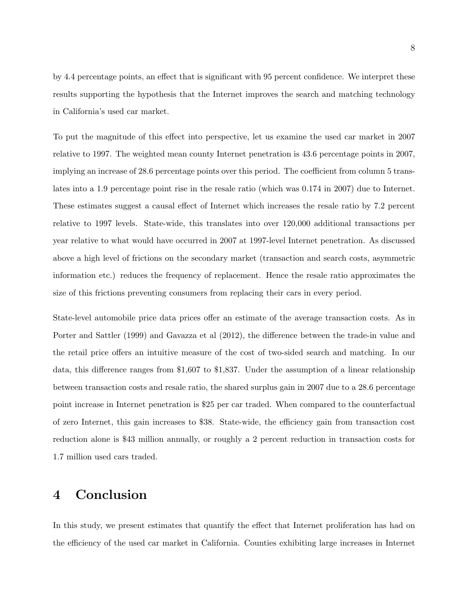by 4.4 percentage points, an effect that is significant with 95 percent confidence. We interpret these results supporting the hypothesis that the Internet improves the search and matching technology in California's used car market.

To put the magnitude of this effect into perspective, let us examine the used car market in 2007 relative to 1997. The weighted mean county Internet penetration is 43.6 percentage points in 2007, implying an increase of 28.6 percentage points over this period. The coefficient from column 5 translates into a 1.9 percentage point rise in the resale ratio (which was 0.174 in 2007) due to Internet. These estimates suggest a causal effect of Internet which increases the resale ratio by 7.2 percent relative to 1997 levels. State-wide, this translates into over 120,000 additional transactions per year relative to what would have occurred in 2007 at 1997-level Internet penetration. As discussed above a high level of frictions on the secondary market (transaction and search costs, asymmetric information etc.) reduces the frequency of replacement. Hence the resale ratio approximates the size of this frictions preventing consumers from replacing their cars in every period.

State-level automobile price data prices offer an estimate of the average transaction costs. As in Porter and Sattler (1999) and Gavazza et al (2012), the difference between the trade-in value and the retail price offers an intuitive measure of the cost of two-sided search and matching. In our data, this difference ranges from \$1,607 to \$1,837. Under the assumption of a linear relationship between transaction costs and resale ratio, the shared surplus gain in 2007 due to a 28.6 percentage point increase in Internet penetration is \$25 per car traded. When compared to the counterfactual of zero Internet, this gain increases to \$38. State-wide, the efficiency gain from transaction cost reduction alone is \$43 million annually, or roughly a 2 percent reduction in transaction costs for 1.7 million used cars traded.

#### 4 Conclusion

In this study, we present estimates that quantify the effect that Internet proliferation has had on the efficiency of the used car market in California. Counties exhibiting large increases in Internet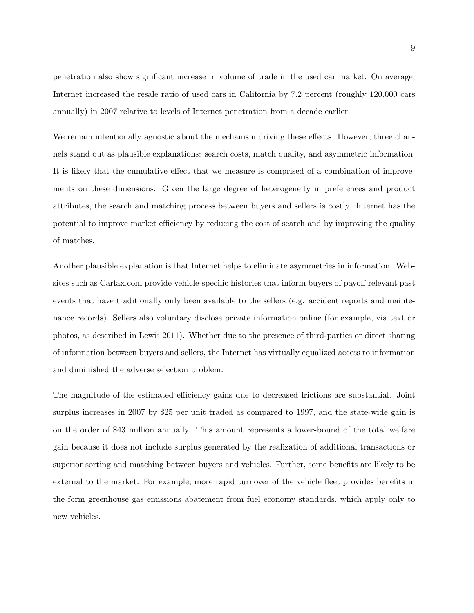penetration also show significant increase in volume of trade in the used car market. On average, Internet increased the resale ratio of used cars in California by 7.2 percent (roughly 120,000 cars annually) in 2007 relative to levels of Internet penetration from a decade earlier.

We remain intentionally agnostic about the mechanism driving these effects. However, three channels stand out as plausible explanations: search costs, match quality, and asymmetric information. It is likely that the cumulative effect that we measure is comprised of a combination of improvements on these dimensions. Given the large degree of heterogeneity in preferences and product attributes, the search and matching process between buyers and sellers is costly. Internet has the potential to improve market efficiency by reducing the cost of search and by improving the quality of matches.

Another plausible explanation is that Internet helps to eliminate asymmetries in information. Websites such as Carfax.com provide vehicle-specific histories that inform buyers of payoff relevant past events that have traditionally only been available to the sellers (e.g. accident reports and maintenance records). Sellers also voluntary disclose private information online (for example, via text or photos, as described in Lewis 2011). Whether due to the presence of third-parties or direct sharing of information between buyers and sellers, the Internet has virtually equalized access to information and diminished the adverse selection problem.

The magnitude of the estimated efficiency gains due to decreased frictions are substantial. Joint surplus increases in 2007 by \$25 per unit traded as compared to 1997, and the state-wide gain is on the order of \$43 million annually. This amount represents a lower-bound of the total welfare gain because it does not include surplus generated by the realization of additional transactions or superior sorting and matching between buyers and vehicles. Further, some benefits are likely to be external to the market. For example, more rapid turnover of the vehicle fleet provides benefits in the form greenhouse gas emissions abatement from fuel economy standards, which apply only to new vehicles.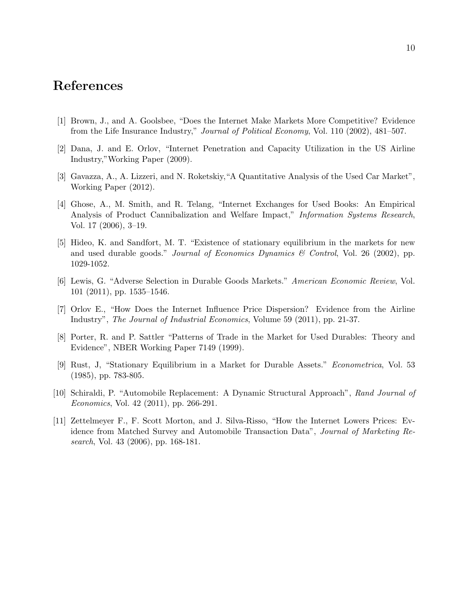## References

- [1] Brown, J., and A. Goolsbee, "Does the Internet Make Markets More Competitive? Evidence from the Life Insurance Industry," Journal of Political Economy, Vol. 110 (2002), 481–507.
- [2] Dana, J. and E. Orlov, "Internet Penetration and Capacity Utilization in the US Airline Industry,"Working Paper (2009).
- [3] Gavazza, A., A. Lizzeri, and N. Roketskiy,"A Quantitative Analysis of the Used Car Market", Working Paper (2012).
- [4] Ghose, A., M. Smith, and R. Telang, "Internet Exchanges for Used Books: An Empirical Analysis of Product Cannibalization and Welfare Impact," Information Systems Research, Vol. 17 (2006), 3–19.
- [5] Hideo, K. and Sandfort, M. T. "Existence of stationary equilibrium in the markets for new and used durable goods." Journal of Economics Dynamics & Control, Vol. 26 (2002), pp. 1029-1052.
- [6] Lewis, G. "Adverse Selection in Durable Goods Markets." American Economic Review, Vol. 101 (2011), pp. 1535–1546.
- [7] Orlov E., "How Does the Internet Influence Price Dispersion? Evidence from the Airline Industry", The Journal of Industrial Economics, Volume 59 (2011), pp. 21-37.
- [8] Porter, R. and P. Sattler "Patterns of Trade in the Market for Used Durables: Theory and Evidence", NBER Working Paper 7149 (1999).
- [9] Rust, J, "Stationary Equilibrium in a Market for Durable Assets." Econometrica, Vol. 53 (1985), pp. 783-805.
- [10] Schiraldi, P. "Automobile Replacement: A Dynamic Structural Approach", Rand Journal of Economics, Vol. 42 (2011), pp. 266-291.
- [11] Zettelmeyer F., F. Scott Morton, and J. Silva-Risso, "How the Internet Lowers Prices: Evidence from Matched Survey and Automobile Transaction Data", Journal of Marketing Research, Vol. 43 (2006), pp. 168-181.